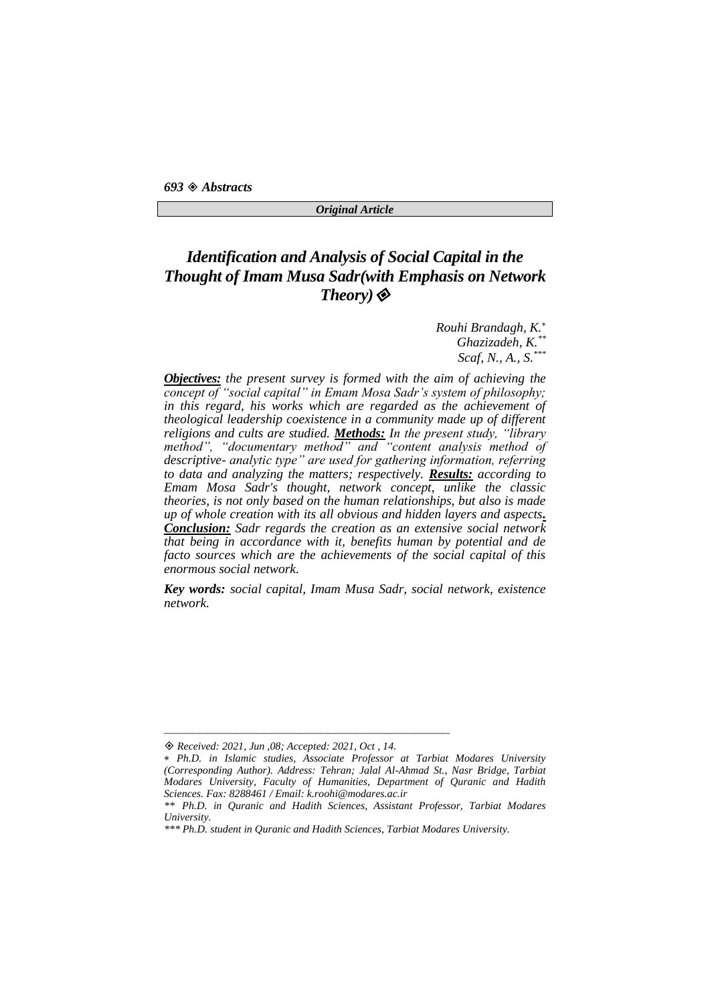*693 Abstracts* 

#### *Original Article*

## *Identification and Analysis of Social Capital in the Thought of Imam Musa Sadr(with Emphasis on Network Theory)*

*Rouhi Brandagh, K. Ghazizadeh, K. \*\* Scaf, N., A., S. \*\*\**

*Objectives: the present survey is formed with the aim of achieving the concept of "social capital" in Emam Mosa Sadr's system of philosophy; in this regard, his works which are regarded as the achievement of theological leadership coexistence in a community made up of different religions and cults are studied. Methods: In the present study, "library method", "documentary method" and "content analysis method of descriptive- analytic type" are used for gathering information, referring to data and analyzing the matters; respectively. Results: according to Emam Mosa Sadr's thought, network concept, unlike the classic theories, is not only based on the human relationships, but also is made up of whole creation with its all obvious and hidden layers and aspects. Conclusion: Sadr regards the creation as an extensive social network that being in accordance with it, benefits human by potential and de facto sources which are the achievements of the social capital of this enormous social network.*

*Key words: social capital, Imam Musa Sadr, social network, existence network.*

*Received: 2021, Jun ,08; Accepted: 2021, Oct , 14.*

*Ph.D. in Islamic studies, Associate Professor at Tarbiat Modares University (Corresponding Author). Address: Tehran; Jalal Al-Ahmad St., Nasr Bridge, Tarbiat Modares University, Faculty of Humanities, Department of Quranic and Hadith Sciences. Fax: 8288461 / Email: k.roohi@modares.ac.ir*

*<sup>\*\*</sup> Ph.D. in Quranic and Hadith Sciences, Assistant Professor, Tarbiat Modares University.*

*<sup>\*\*\*</sup> Ph.D. student in Quranic and Hadith Sciences, Tarbiat Modares University.*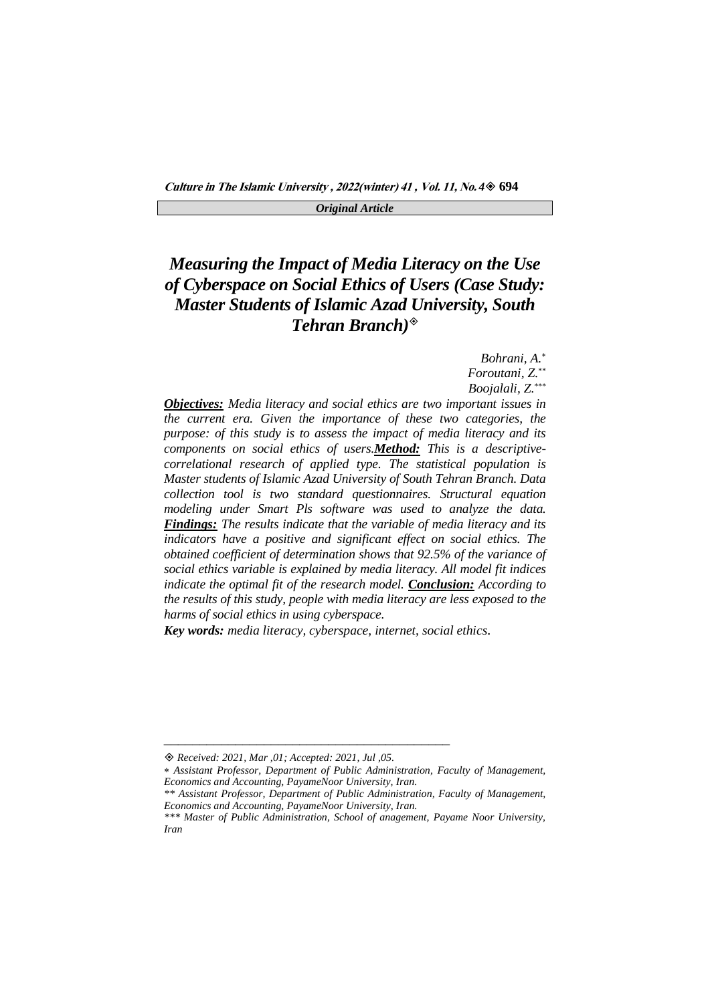## *Measuring the Impact of Media Literacy on the Use of Cyberspace on Social Ethics of Users (Case Study: Master Students of Islamic Azad University, South Tehran Branch)*

*Bohrani, A. Foroutani, Z.* \*\* *Boojalali, Z.* \*\*\*

*Objectives: Media literacy and social ethics are two important issues in the current era. Given the importance of these two categories, the purpose: of this study is to assess the impact of media literacy and its components on social ethics of users.Method: This is a descriptivecorrelational research of applied type. The statistical population is Master students of Islamic Azad University of South Tehran Branch. Data collection tool is two standard questionnaires. Structural equation modeling under Smart Pls software was used to analyze the data. Findings: The results indicate that the variable of media literacy and its*  indicators have a positive and significant effect on social ethics. The *obtained coefficient of determination shows that 92.5% of the variance of social ethics variable is explained by media literacy. All model fit indices indicate the optimal fit of the research model. Conclusion: According to the results of this study, people with media literacy are less exposed to the harms of social ethics in using cyberspace.*

*Key words: media literacy, cyberspace, internet, social ethics.*

*Received: 2021, Mar ,01; Accepted: 2021, Jul ,05.*

*Assistant Professor, Department of Public Administration, Faculty of Management, Economics and Accounting, PayameNoor University, Iran.*

*<sup>\*\*</sup> Assistant Professor, Department of Public Administration, Faculty of Management, Economics and Accounting, PayameNoor University, Iran.*

*<sup>\*\*\*</sup> Master of Public Administration, School of anagement, Payame Noor University, Iran*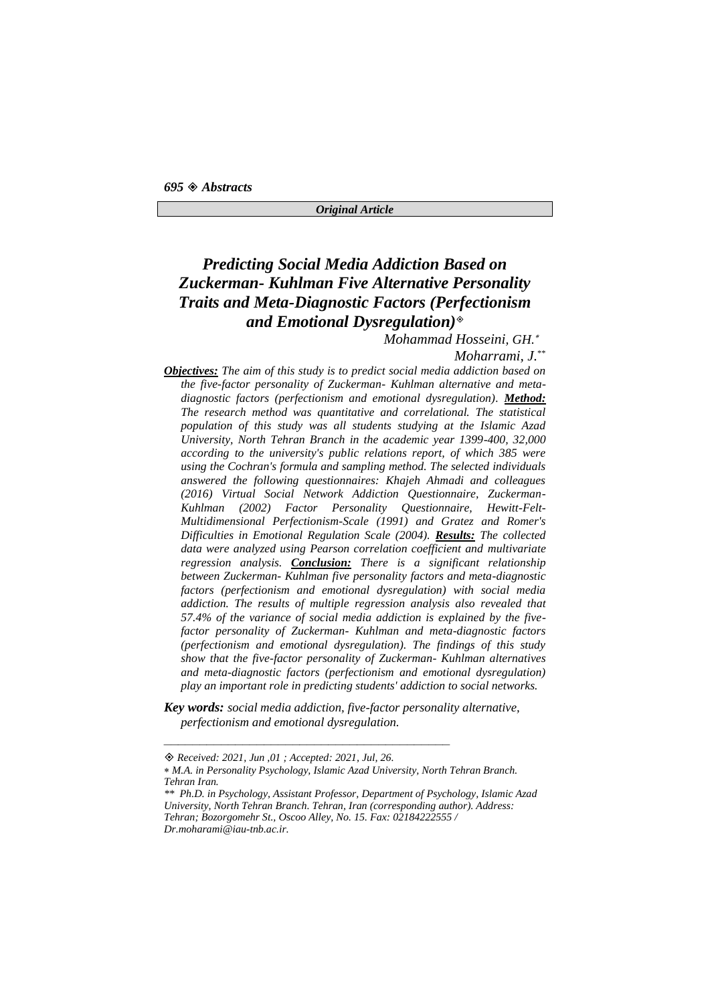## *Predicting Social Media Addiction Based on Zuckerman- Kuhlman Five Alternative Personality Traits and Meta-Diagnostic Factors (Perfectionism and Emotional Dysregulation)*

*Mohammad Hosseini, GH.*

*Moharrami, J.* \*\*

*Objectives: The aim of this study is to predict social media addiction based on the five-factor personality of Zuckerman- Kuhlman alternative and metadiagnostic factors (perfectionism and emotional dysregulation). Method: The research method was quantitative and correlational. The statistical population of this study was all students studying at the Islamic Azad University, North Tehran Branch in the academic year 1399-400, 32,000 according to the university's public relations report, of which 385 were using the Cochran's formula and sampling method. The selected individuals answered the following questionnaires: Khajeh Ahmadi and colleagues (2016) Virtual Social Network Addiction Questionnaire, Zuckerman-Kuhlman (2002) Factor Personality Questionnaire, Hewitt-Felt-Multidimensional Perfectionism-Scale (1991) and Gratez and Romer's Difficulties in Emotional Regulation Scale (2004). Results: The collected data were analyzed using Pearson correlation coefficient and multivariate regression analysis. Conclusion: There is a significant relationship between Zuckerman- Kuhlman five personality factors and meta-diagnostic factors (perfectionism and emotional dysregulation) with social media addiction. The results of multiple regression analysis also revealed that 57.4% of the variance of social media addiction is explained by the fivefactor personality of Zuckerman- Kuhlman and meta-diagnostic factors (perfectionism and emotional dysregulation). The findings of this study show that the five-factor personality of Zuckerman- Kuhlman alternatives and meta-diagnostic factors (perfectionism and emotional dysregulation) play an important role in predicting students' addiction to social networks.*

*Key words: social media addiction, five-factor personality alternative, perfectionism and emotional dysregulation.*

*Received: 2021, Jun ,01 ; Accepted: 2021, Jul, 26.*

*M.A. in Personality Psychology, Islamic Azad University, North Tehran Branch. Tehran Iran.*

*<sup>\*\*</sup> Ph.D. in Psychology, Assistant Professor, Department of Psychology, Islamic Azad University, North Tehran Branch. Tehran, Iran (corresponding author). Address: Tehran; Bozorgomehr St., Oscoo Alley, No. 15. Fax: 02184222555 / Dr.moharami@iau-tnb.ac.ir.*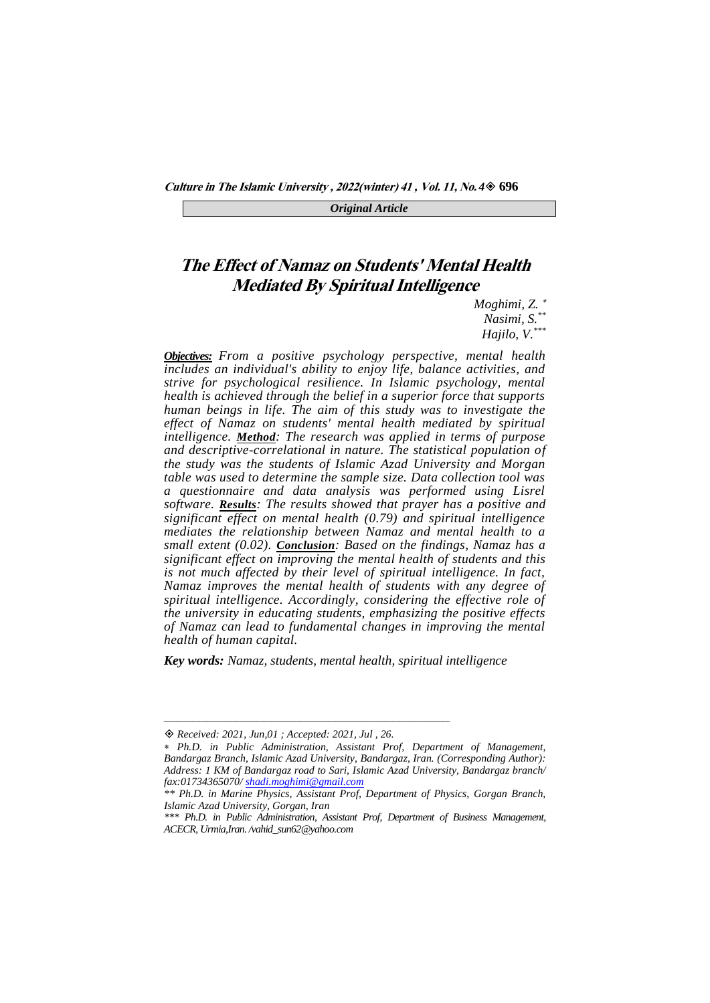**Culture in The Islamic University , 2022(winter) <sup>41</sup> , Vol. 11, No.** *4* **696**

*Original Article*

## **The Effect of Namaz on Students' Mental Health Mediated By Spiritual Intelligence**

*Moghimi, Z.*

*Nasimi, S. \*\**

*Hajilo, V.\*\*\**

*Objectives: From a positive psychology perspective, mental health includes an individual's ability to enjoy life, balance activities, and strive for psychological resilience. In Islamic psychology, mental health is achieved through the belief in a superior force that supports human beings in life. The aim of this study was to investigate the effect of Namaz on students' mental health mediated by spiritual intelligence. Method: The research was applied in terms of purpose and descriptive-correlational in nature. The statistical population of the study was the students of Islamic Azad University and Morgan table was used to determine the sample size. Data collection tool was a questionnaire and data analysis was performed using Lisrel software. Results: The results showed that prayer has a positive and significant effect on mental health (0.79) and spiritual intelligence mediates the relationship between Namaz and mental health to a small extent (0.02). Conclusion: Based on the findings, Namaz has a significant effect on improving the mental health of students and this is not much affected by their level of spiritual intelligence. In fact, Namaz improves the mental health of students with any degree of spiritual intelligence. Accordingly, considering the effective role of the university in educating students, emphasizing the positive effects of Namaz can lead to fundamental changes in improving the mental health of human capital.*

*Key words: Namaz, students, mental health, spiritual intelligence*

*Received: 2021, Jun,01 ; Accepted: 2021, Jul , 26.*

*Ph.D. in Public Administration, Assistant Prof, Department of Management, Bandargaz Branch, Islamic Azad University, Bandargaz, Iran. (Corresponding Author): Address: 1 KM of Bandargaz road to Sari, Islamic Azad University, Bandargaz branch/ fax:01734365070[/ shadi.moghimi@gmail.com](mailto:shadi.moghimi@gmail.com)*

*<sup>\*\*</sup> Ph.D. in Marine Physics, Assistant Prof, Department of Physics, Gorgan Branch, Islamic Azad University, Gorgan, Iran*

*<sup>\*\*\*</sup> Ph.D. in Public Administration, Assistant Prof, Department of Business Management, ACECR, Urmia,Iran. /vahid\_sun62@yahoo.com*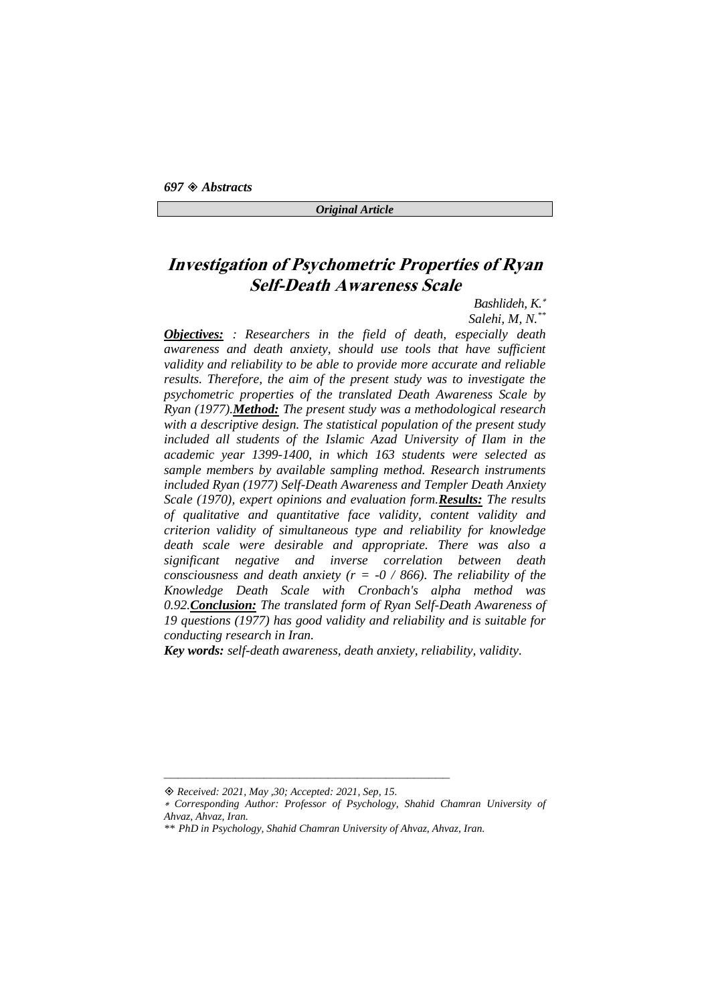## **Investigation of Psychometric Properties of Ryan Self-Death Awareness Scale**

#### *Bashlideh, K.*

*Salehi, M, N. \*\* Objectives: : Researchers in the field of death, especially death awareness and death anxiety, should use tools that have sufficient validity and reliability to be able to provide more accurate and reliable results. Therefore, the aim of the present study was to investigate the psychometric properties of the translated Death Awareness Scale by Ryan (1977).Method: The present study was a methodological research with a descriptive design. The statistical population of the present study included all students of the Islamic Azad University of Ilam in the academic year 1399-1400, in which 163 students were selected as sample members by available sampling method. Research instruments included Ryan (1977) Self-Death Awareness and Templer Death Anxiety Scale (1970), expert opinions and evaluation form.Results: The results of qualitative and quantitative face validity, content validity and criterion validity of simultaneous type and reliability for knowledge death scale were desirable and appropriate. There was also a significant negative and inverse correlation between death consciousness and death anxiety (* $r = -0 / 866$ *). The reliability of the Knowledge Death Scale with Cronbach's alpha method was 0.92.Conclusion: The translated form of Ryan Self-Death Awareness of 19 questions (1977) has good validity and reliability and is suitable for conducting research in Iran.*

*Key words: self-death awareness, death anxiety, reliability, validity.*

*Received: 2021, May ,30; Accepted: 2021, Sep, 15.*

*Corresponding Author: Professor of Psychology, Shahid Chamran University of Ahvaz, Ahvaz, Iran.* 

*<sup>\*\*</sup> PhD in Psychology, Shahid Chamran University of Ahvaz, Ahvaz, Iran.*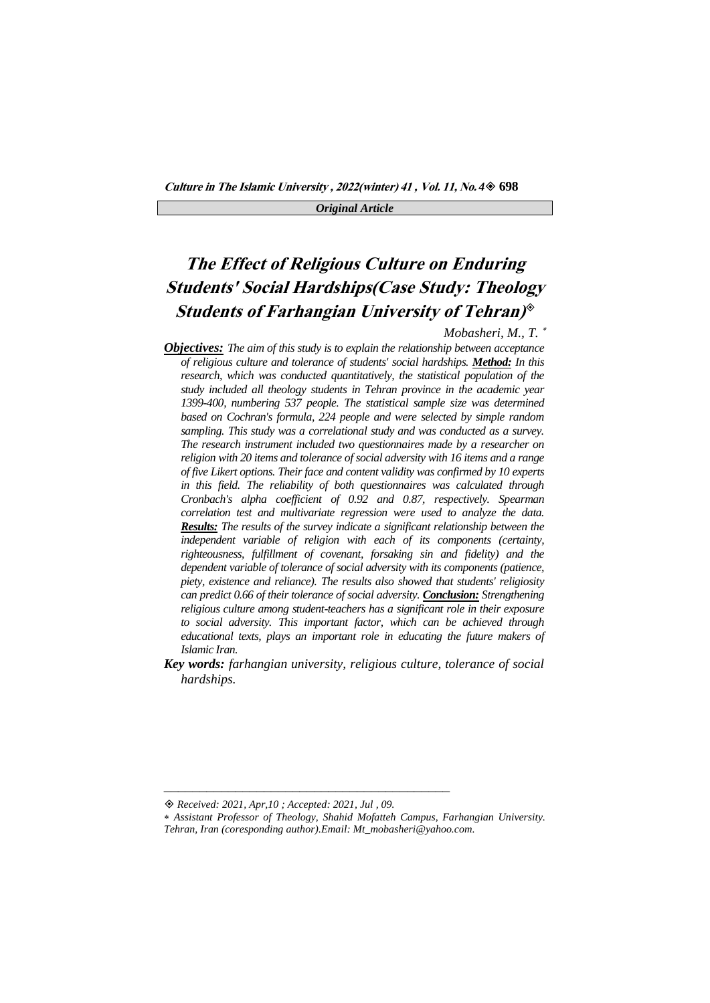## **The Effect of Religious Culture on Enduring Students' Social Hardships(Case Study: Theology Students of Farhangian University of Tehran)**

*Mobasheri, M., T.* 

- *Objectives: The aim of this study is to explain the relationship between acceptance of religious culture and tolerance of students' social hardships. Method: In this research, which was conducted quantitatively, the statistical population of the study included all theology students in Tehran province in the academic year 1399-400, numbering 537 people. The statistical sample size was determined based on Cochran's formula, 224 people and were selected by simple random sampling. This study was a correlational study and was conducted as a survey. The research instrument included two questionnaires made by a researcher on religion with 20 items and tolerance of social adversity with 16 items and a range of five Likert options. Their face and content validity was confirmed by 10 experts in this field. The reliability of both questionnaires was calculated through Cronbach's alpha coefficient of 0.92 and 0.87, respectively. Spearman correlation test and multivariate regression were used to analyze the data. Results: The results of the survey indicate a significant relationship between the independent variable of religion with each of its components (certainty, righteousness, fulfillment of covenant, forsaking sin and fidelity) and the dependent variable of tolerance of social adversity with its components (patience, piety, existence and reliance). The results also showed that students' religiosity can predict 0.66 of their tolerance of social adversity. Conclusion: Strengthening religious culture among student-teachers has a significant role in their exposure to social adversity. This important factor, which can be achieved through educational texts, plays an important role in educating the future makers of Islamic Iran.*
- *Key words: farhangian university, religious culture, tolerance of social hardships.*

*Received: 2021, Apr,10 ; Accepted: 2021, Jul , 09.*

*Assistant Professor of Theology, Shahid Mofatteh Campus, Farhangian University.* 

*Tehran, Iran (coresponding author).Email: Mt\_mobasheri@yahoo.com.*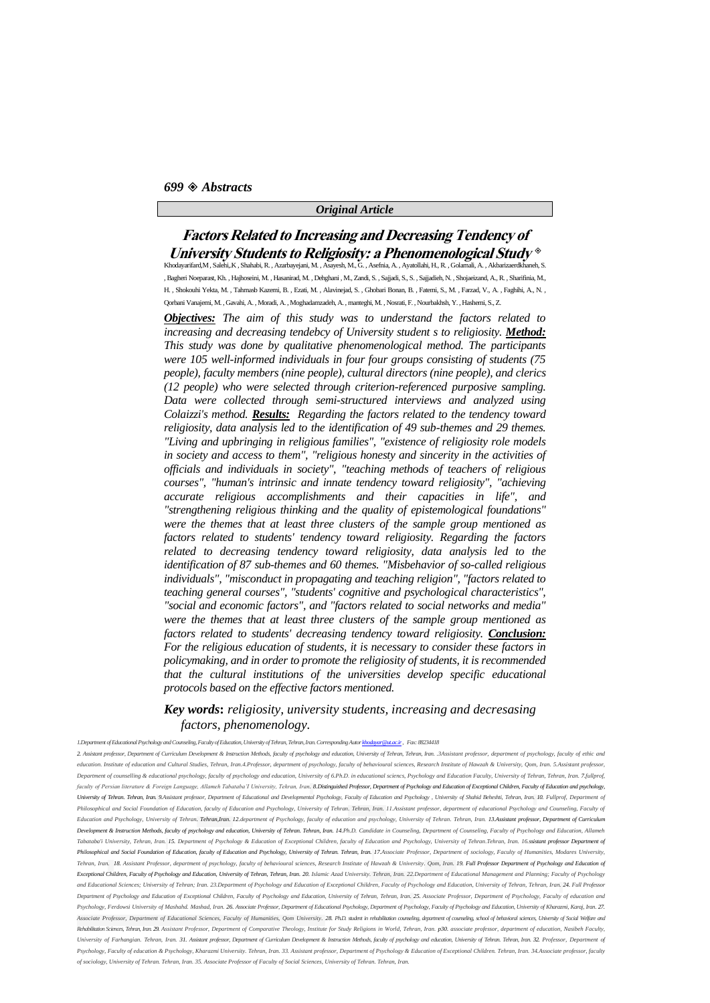### **Factors Related to Increasing and Decreasing Tendency of University Students to Religiosity: a Phenomenological Study**

Khodayarifard,M , Salehi,.K , Shahabi, R. , Azarbayejani, M. , Asayesh, M., G. , Asefnia, A. , Ayatollahi, H., R. , Golamali, A. , Akbarizaerdkhaneh, S. , Bagheri Noeparast, Kh. , Hajhoseini, M. , Hasanirad, M. , Dehghani , M., Zandi, S. , Sajjadi, S., S. , Sajjadieh, N. , Shojaeizand, A., R. , Sharifinia, M., H. , Shokouhi Yekta, M. , Tahmasb Kazemi, B. , Ezati, M. , Alavinejad, S. , Ghobari Bonan, B. , Fatemi, S., M. , Farzad, V., A. , Faghihi, A., N. , Qorbani Vanajemi, M. , Gavahi, A. , Moradi, A. , Moghadamzadeh, A. , manteghi, M. , Nosrati, F. , Nourbakhsh, Y. , Hashemi, S., Z.

*Objectives: The aim of this study was to understand the factors related to*  increasing and decreasing tendebcy of University student s to religiosity. Method: *This study was done by qualitative phenomenological method. The participants were 105 well-informed individuals in four four groups consisting of students (75 people), faculty members (nine people), cultural directors (nine people), and clerics (12 people) who were selected through criterion-referenced purposive sampling. Data were collected through semi-structured interviews and analyzed using Colaizzi's method. Results: Regarding the factors related to the tendency toward religiosity, data analysis led to the identification of 49 sub-themes and 29 themes. "Living and upbringing in religious families", "existence of religiosity role models in society and access to them", "religious honesty and sincerity in the activities of officials and individuals in society", "teaching methods of teachers of religious courses", "human's intrinsic and innate tendency toward religiosity", "achieving accurate religious accomplishments and their capacities in life", and "strengthening religious thinking and the quality of epistemological foundations" were the themes that at least three clusters of the sample group mentioned as factors related to students' tendency toward religiosity. Regarding the factors related to decreasing tendency toward religiosity, data analysis led to the identification of 87 sub-themes and 60 themes. "Misbehavior of so-called religious individuals", "misconduct in propagating and teaching religion", "factors related to teaching general courses", "students' cognitive and psychological characteristics", "social and economic factors", and "factors related to social networks and media" were the themes that at least three clusters of the sample group mentioned as factors related to students' decreasing tendency toward religiosity. Conclusion: For the religious education of students, it is necessary to consider these factors in policymaking, and in order to promote the religiosity of students, it is recommended that the cultural institutions of the universities develop specific educational protocols based on the effective factors mentioned.*

#### *Key words***:** *religiosity, university students, increasing and decresasing factors, phenomenology.*

*1.Department of Educational Psychology and Counseling, Faculty of Education, University of Tehran, Tehran, Iran. Corresponding Auto[r khodayar@ut.ac.ir,](mailto:khodayar@ut.ac.ir) Fax: 88234418* 

2. Assistant professor, Department of Curriculum Development & Instruction Methods, faculty of psychology and education, University of Tehran, Tehran, Iran. 3Assistant professor, department of psychology, faculty of ethic education. Institute of education and Cultural Studies, Tehran, Iran.4.Professor, department of psychology, faculty of behavioural sciences, Research Institute of Hawzah & University, Qom, Iran. 5.Assistant professor, nt of counselling & educational psychology, faculty of psychology and education, University of 6.Ph.D. in educational sciencs, Psychology and Education Faculty, University of Tehran, Tehran, Iran. 7.fullprof faculty of Persian literature & Foreign Language, Allameh Tabataba 'I University, Tehran, Iran. 8. Distinguished Professor, Department of Psychology and Education of Exceptional Children, Faculty of Education and psycholog University of Tehran, Tehran, Iran, 9Assistant professor, Department of Educational and Developmental Psychology, Faculty of Education and Psychology , University of Shahid Beheshti, Tehran, Iran, 10, Fullprof, Depart *Philosophical and Social Foundation of Education, faculty of Education and Psychology, University of Tehran. Tehran, Iran. 11.Assistant professor, department of educational Psychology and Counseling, Faculty of*  ion and Psychology, University of Tehran. Tehran,Iran. 12.department of Psychology, faculty of education and psychology, University of Tehran. Tehran, Iran. 13.Assistant professor, Department of Curriculum Development & Instruction Methods, faculty of psychology and education, University of Tehran, Tehran, Iran, 14.Ph.D. Candidate in Counseling, Department of Counseling, Faculty of Psychology and Education, Allameh Tabataba'i University, Tehran, Iran, 15, Department of Psychology & Education of Exceptional Children, faculty of Education and Psychology, University of Tehran, Tehran, Iran, 16, ssistant professor Department of Philosophical and Social Foundation of Education, faculty of Education and Psychology, University of Tehran. Tehran, Iran. 17 Associate Professor, Department of sociology, Faculty of Humanities, Modares University, Tehran, Iran. 18. Assistant Professor, department of psychology, faculty of behavioural sciences, Research Institute of Hawzah & University. Qom, Iran. 19. Full Professor Department of Psychology and Education of Exceptional Children, Eaculty of Psychology and Education, University of Tehran, Tehran, 17an, 20 Islamic Azad University Tehran, Iran, 22 Department of Educational Management and Planning: Eaculty of Psychology and Educational Sciences: University of Tehran: Iran. 23.Department of Psychology and Education of Exceptional Children. Faculty of Psychology and Education. University of Tehran. Tehran. Iran. 24. Full Professor nt of Psychology and Education of Exceptional Children. Eaculty of Psychology and Education. University of Tehran. Tehran. Iran, 25. Associate Professor, Department of Psychology, Eaculty of edu Psychology, Ferdowsi University of Mashahd, Mashad, Iran. 26. Associate Professor, Department of Educational Psychology, Department of Psychology, Faculty of Psychology and Education, University of Kharazmi, Karaj, Iran. 2 Associate Professor, Department of Educational Sciences, Faculty of Humanities, Qom University. 28. PhD, student in rehabilitation counseling, department of counseling, school of behavioral sciences, University of Social W Rehabilitation Sciences, Tehran, Iran 29. Assistant Professor, Department of Comparative Theology, Institute for Study Religions in World, Tehran, Iran. p30. associate professor, department of education, Nasibeh Faculty University of Farhangian. Tehran, Iran. 31. Assistant professor, Department of Curriculum Development & Instruction Methods, faculty of psychology and education, University of Tehran. Tehran, Iran. 32. Professor, Departmen Psychology Faculty of education & Psychology, Kharazmi University, Tehran, Iran, 33. Assistant professor, Department of Psychology & Education of Exceptional Children, Tehran, Iran, 34 Associate professor, faculty *of sociology, University of Tehran. Tehran, Iran. 35. Associate Professor of Faculty of Social Sciences, University of Tehran. Tehran, Iran.*